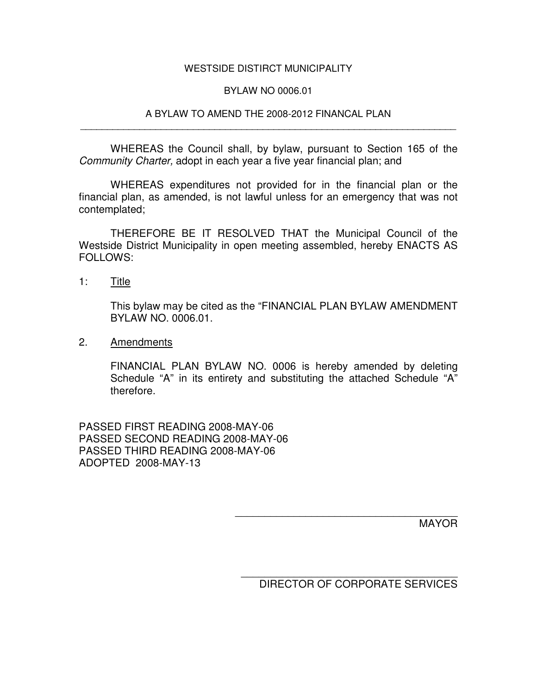## WESTSIDE DISTIRCT MUNICIPALITY

## BYLAW NO 0006.01

## A BYLAW TO AMEND THE 2008-2012 FINANCAL PLAN \_\_\_\_\_\_\_\_\_\_\_\_\_\_\_\_\_\_\_\_\_\_\_\_\_\_\_\_\_\_\_\_\_\_\_\_\_\_\_\_\_\_\_\_\_\_\_\_\_\_\_\_\_\_\_\_\_\_\_\_\_\_\_\_\_\_\_\_\_\_

WHEREAS the Council shall, by bylaw, pursuant to Section 165 of the *Community Charter,* adopt in each year a five year financial plan; and

WHEREAS expenditures not provided for in the financial plan or the financial plan, as amended, is not lawful unless for an emergency that was not contemplated;

THEREFORE BE IT RESOLVED THAT the Municipal Council of the Westside District Municipality in open meeting assembled, hereby ENACTS AS FOLLOWS:

1: Title

This bylaw may be cited as the "FINANCIAL PLAN BYLAW AMENDMENT BYLAW NO. 0006.01.

2. Amendments

FINANCIAL PLAN BYLAW NO. 0006 is hereby amended by deleting Schedule "A" in its entirety and substituting the attached Schedule "A" therefore.

PASSED FIRST READING 2008-MAY-06 PASSED SECOND READING 2008-MAY-06 PASSED THIRD READING 2008-MAY-06 ADOPTED 2008-MAY-13

MAYOR

\_\_\_\_\_\_\_\_\_\_\_\_\_\_\_\_\_\_\_\_\_\_\_\_\_\_\_\_\_\_\_\_\_\_\_\_\_ DIRECTOR OF CORPORATE SERVICES

\_\_\_\_\_\_\_\_\_\_\_\_\_\_\_\_\_\_\_\_\_\_\_\_\_\_\_\_\_\_\_\_\_\_\_\_\_\_